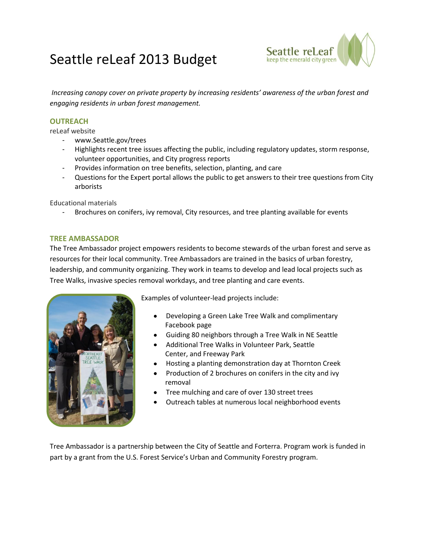# Seattle reLeaf 2013 Budget



*Increasing canopy cover on private property by increasing residents' awareness of the urban forest and engaging residents in urban forest management.*

## **OUTREACH**

reLeaf website

- www.Seattle.gov/trees
- Highlights recent tree issues affecting the public, including regulatory updates, storm response, volunteer opportunities, and City progress reports
- Provides information on tree benefits, selection, planting, and care
- Questions for the Expert portal allows the public to get answers to their tree questions from City arborists

Educational materials

Brochures on conifers, ivy removal, City resources, and tree planting available for events

## **TREE AMBASSADOR**

The Tree Ambassador project empowers residents to become stewards of the urban forest and serve as resources for their local community. Tree Ambassadors are trained in the basics of urban forestry, leadership, and community organizing. They work in teams to develop and lead local projects such as Tree Walks, invasive species removal workdays, and tree planting and care events.



Examples of volunteer-lead projects include:

- Developing a Green Lake Tree Walk and complimentary Facebook page
- Guiding 80 neighbors through a Tree Walk in NE Seattle
- Additional Tree Walks in Volunteer Park, Seattle Center, and Freeway Park
- Hosting a planting demonstration day at Thornton Creek
- Production of 2 brochures on conifers in the city and ivy removal
- Tree mulching and care of over 130 street trees
- Outreach tables at numerous local neighborhood events

Tree Ambassador is a partnership between the City of Seattle and Forterra. Program work is funded in part by a grant from the U.S. Forest Service's Urban and Community Forestry program.